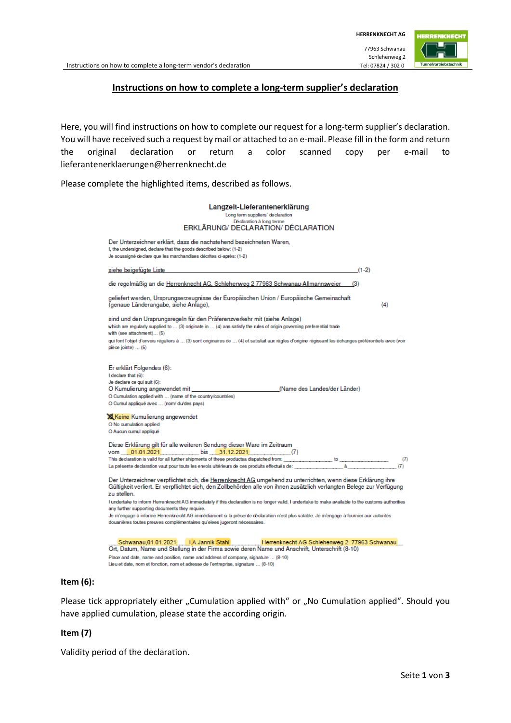### **Instructions on how to complete a long-term supplier's declaration**

Here, you will find instructions on how to complete our request for a long-term supplier's declaration. You will have received such a request by mail or attached to an e-mail. Please fill in the form and return the original declaration or return a color scanned copy per e-mail to lieferantenerklaerungen@herrenknecht.de

Please complete the highlighted items, described as follows.

| Langzeit-Lieferantenerklärung                                                                                                                                                                                                                               |
|-------------------------------------------------------------------------------------------------------------------------------------------------------------------------------------------------------------------------------------------------------------|
| Long term suppliers' declaration                                                                                                                                                                                                                            |
| Déclaration à long terme                                                                                                                                                                                                                                    |
| ERKLÄRUNG/ DECLARATION/ DÉCLARATION                                                                                                                                                                                                                         |
| Der Unterzeichner erklärt, dass die nachstehend bezeichneten Waren,<br>I, the undersigned, declare that the goods described below: (1-2)                                                                                                                    |
|                                                                                                                                                                                                                                                             |
| Je soussigné declare que les marchandises décrites ci-après: (1-2)                                                                                                                                                                                          |
| <u>siehe beigefügte Liste</u><br>$(1-2)$                                                                                                                                                                                                                    |
| die regelmäßig an die Herrenknecht AG, Schlehenweg 2 77963 Schwanau-Allmannsweier<br>(3)                                                                                                                                                                    |
| geliefert werden, Ursprungserzeugnisse der Europäischen Union / Europäische Gemeinschaft<br>(genaue Länderangabe, siehe Anlage),<br>(4)                                                                                                                     |
| sind und den Ursprungsregeln für den Präferenzverkehr mit (siehe Anlage)                                                                                                                                                                                    |
| which are regularly supplied to  (3) originate in  (4) ans satisfy the rules of origin governing preferential trade<br>with (see attachment) (5)                                                                                                            |
| qui font l'objet d'envois réguliers à  (3) sont originaires de  (4) et satisfait aux règles d'origine régissant les échanges préférentiels avec (voir                                                                                                       |
| pièce jointe)  (5)                                                                                                                                                                                                                                          |
|                                                                                                                                                                                                                                                             |
|                                                                                                                                                                                                                                                             |
| Er erklärt Folgendes (6):                                                                                                                                                                                                                                   |
| I declare that (6):                                                                                                                                                                                                                                         |
| Je declare ce qui suit (6):                                                                                                                                                                                                                                 |
| (Name des Landes/der Länder)<br>O Kumulierung angewendet mit                                                                                                                                                                                                |
| O Cumulation applied with  (name of the country/countries)                                                                                                                                                                                                  |
| O Cumul appliqué avec  (nom/ du/des pays)                                                                                                                                                                                                                   |
| <b>XX</b> Keine Kumulierung angewendet                                                                                                                                                                                                                      |
| O No cumulation applied                                                                                                                                                                                                                                     |
| O Aucun cumul appliqué                                                                                                                                                                                                                                      |
|                                                                                                                                                                                                                                                             |
| Diese Erklärung gilt für alle weiteren Sendung dieser Ware im Zeitraum                                                                                                                                                                                      |
| vom 01.01.2021 bis 31.12.2021 (7)                                                                                                                                                                                                                           |
| This declaration is valid for all further shipments of these productsa dispatched from:<br>to the control of the control of the control of the control of the control of the control of the control of the<br>$(7)$                                         |
| La présente declaration vaut pour touts les envois ultérieurs de ces produits effectués de:<br>(7)                                                                                                                                                          |
| Der Unterzeichner verpflichtet sich, die <u>Herrenknecht AG</u> umgehend zu unterrichten, wenn diese Erklärung ihre<br>Gültigkeit verliert. Er verpflichtet sich, den Zollbehörden alle von ihnen zusätzlich verlangten Belege zur Verfügung<br>zu stellen. |
| I undertake to inform Herrenknecht AG immediately if this declaration is no longer valid. I undertake to make available to the customs authorities                                                                                                          |
| any further supporting documents they require.                                                                                                                                                                                                              |
| Je m'engage à informe Herrenknecht AG immédiament si la présente déclaration n'est plus valable. Je m'engage à fournier aux autorités                                                                                                                       |
| douanières toutes preuves complémentaires qu'elees jugeront nécessaires.                                                                                                                                                                                    |
|                                                                                                                                                                                                                                                             |
| Schwanau, 01.01.2021 i.A.Jannik Stahl Herrenknecht AG Schlehenweg 2 77963 Schwanau                                                                                                                                                                          |
| Ort, Datum, Name und Stellung in der Firma sowie deren Name und Anschrift, Unterschrift (8-10)                                                                                                                                                              |
| Place and date, name and position, name and address of company, signature  (8-10)                                                                                                                                                                           |
| Lieu et date, nom et fonction, nom et adresse de l'entreprise, signature (8-10)                                                                                                                                                                             |

#### **Item (6):**

Please tick appropriately either "Cumulation applied with" or "No Cumulation applied". Should you have applied cumulation, please state the according origin.

#### **Item (7)**

Validity period of the declaration.

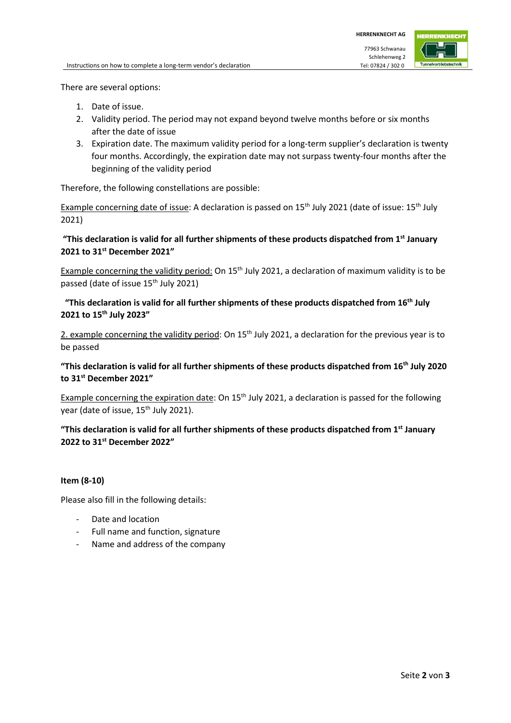There are several options:

- 1. Date of issue.
- 2. Validity period. The period may not expand beyond twelve months before or six months after the date of issue
- 3. Expiration date. The maximum validity period for a long-term supplier's declaration is twenty four months. Accordingly, the expiration date may not surpass twenty-four months after the beginning of the validity period

Therefore, the following constellations are possible:

Example concerning date of issue: A declaration is passed on  $15<sup>th</sup>$  July 2021 (date of issue:  $15<sup>th</sup>$  July 2021)

# **"This declaration is valid for all further shipments of these products dispatched from 1st January 2021 to 31st December 2021"**

Example concerning the validity period: On  $15<sup>th</sup>$  July 2021, a declaration of maximum validity is to be passed (date of issue 15<sup>th</sup> July 2021)

## **"This declaration is valid for all further shipments of these products dispatched from 16th July 2021 to 15th July 2023"**

2. example concerning the validity period: On  $15<sup>th</sup>$  July 2021, a declaration for the previous year is to be passed

# **"This declaration is valid for all further shipments of these products dispatched from 16th July 2020 to 31st December 2021"**

Example concerning the expiration date: On 15<sup>th</sup> July 2021, a declaration is passed for the following year (date of issue, 15<sup>th</sup> July 2021).

# **"This declaration is valid for all further shipments of these products dispatched from 1st January 2022 to 31st December 2022"**

### **Item (8-10)**

Please also fill in the following details:

- Date and location
- Full name and function, signature
- Name and address of the company